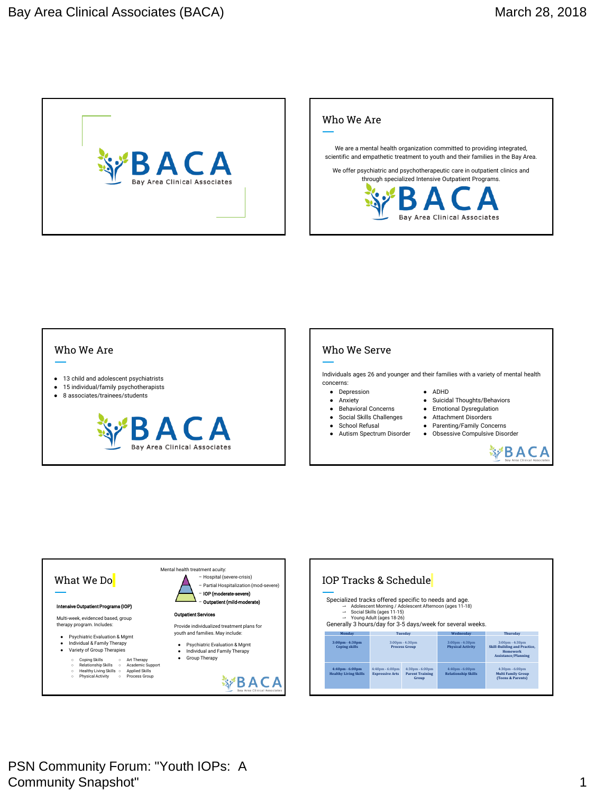



## Who We Are

- 13 child and adolescent psychiatrists
- 15 individual/family psychotherapists
- 8 associates/trainees/students



## Who We Serve

Individuals ages 26 and younger and their families with a variety of mental health concerns:

- Depression
- Anxiety
- Behavioral Concerns
- Social Skills Challenges
- School Refusal
- Autism Spectrum Disorder



- Suicidal Thoughts/Behaviors
- Emotional Dysregulation
- Attachment Disorders
- Parenting/Family Concerns ● Obsessive Compulsive Disorder





| IOP Tracks & Schedule                                 |                                                                                    |                                                                      |                                                               |                                                                                                                           |
|-------------------------------------------------------|------------------------------------------------------------------------------------|----------------------------------------------------------------------|---------------------------------------------------------------|---------------------------------------------------------------------------------------------------------------------------|
| Specialized tracks offered specific to needs and age. | $\rightarrow$ Social Skills (ages 11-15)<br>$\rightarrow$ Young Adult (ages 18-26) | $\rightarrow$ Adolescent Morning / Adolescent Afternoon (ages 11-18) | Generally 3 hours/day for 3-5 days/week for several weeks.    |                                                                                                                           |
| Monday                                                | Tuesday                                                                            |                                                                      | Wednesday                                                     | <b>Thursday</b>                                                                                                           |
| 3:00pm - 4:30pm<br><b>Coping skills</b>               | 3:00pm - 4:30pm<br><b>Process Group</b>                                            |                                                                      | $3:00 \text{pm} - 4:30 \text{pm}$<br><b>Physical Activity</b> | $3:00 \text{pm} - 4:30 \text{pm}$<br><b>Skill-Building and Practice.</b><br><b>Homework</b><br><b>Assistance/Planning</b> |
| 4:40pm - 6:00pm<br><b>Healthy Living Skills</b>       | $4:40$ pm - $6:00$ pm<br><b>Expressive Arts</b>                                    | $4:30pm - 6:00pm$<br><b>Parent Training</b><br>Group                 | 4:40pm - 6:00pm<br><b>Relationship Skills</b>                 | $4:30pm - 6:00pm$<br><b>Multi Family Group</b><br>(Teens & Parents)                                                       |

PSN Community Forum: "Youth IOPs: A **Community Snapshot"** 1